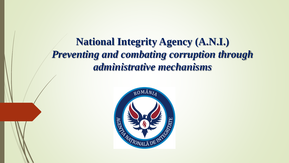**National Integrity Agency (A.N.I.)**  *Preventing and combating corruption through administrative mechanisms*

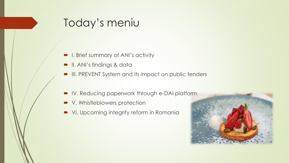#### Today's meniu

- **I.** Brief summary of ANI's activity
- **II.** ANI's findings & data
- III. PREVENT System and its impact on public tenders
- IV. Reducing paperwork through e-DAI platform
- V. Whistleblowers protection
- VI. Upcoming integrity reform in Romania

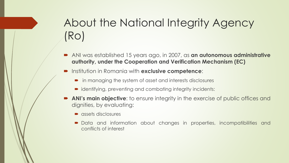# About the National Integrity Agency (Ro)

- ANI was established 15 years ago, in 2007, as **an autonomous administrative authority, under the Cooperation and Verification Mechanism (EC)**
- Institution in Romania with **exclusive competence**:
	- in managing the system of asset and interests disclosures
	- identifying, preventing and combating integrity incidents:
- **ANI's main objective**: to ensure integrity in the exercise of public offices and dignities, by evaluating:
	- assets disclosures
	- Data and information about changes in properties, incompatibilities and conflicts of interest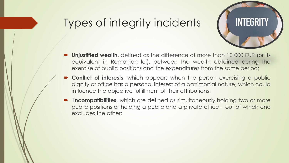#### Types of integrity incidents



- **Unjustified wealth**, defined as the difference of more than 10 000 EUR (or its equivalent in Romanian lei), between the wealth obtained during the exercise of public positions and the expenditures from the same period;
- **Conflict of interests**, which appears when the person exercising a public dignity or office has a personal interest of a patrimonial nature, which could influence the objective fulfillment of their attributions;
- **Incompatibilities**, which are defined as simultaneously holding two or more public positions or holding a public and a private office – out of which one excludes the other;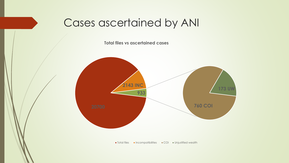#### Cases ascertained by ANI

**Total files vs ascertained cases**



**Total files Incompatibilities Incompatibilities** Incompatibilities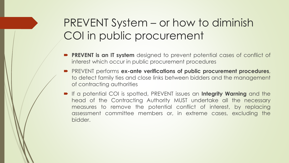## PREVENT System – or how to diminish COI in public procurement

- **PREVENT is an IT system** designed to prevent potential cases of conflict of interest which occur in public procurement procedures
- PREVENT performs **ex-ante verifications of public procurement procedures**, to detect family ties and close links between bidders and the management of contracting authorities
- If a potential COI is spotted, PREVENT issues an **Integrity Warning** and the head of the Contracting Authority MUST undertake all the necessary measures to remove the potential conflict of interest, by replacing assessment committee members or, in extreme cases, excluding the bidder.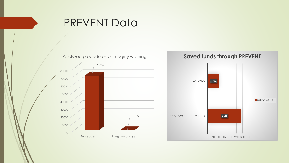

#### PREVENT Data



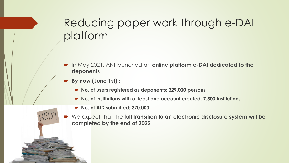### Reducing paper work through e-DAI platform

- In May 2021, ANI launched an **online platform e-DAI dedicated to the deponents**
- **By now (June 1st) :**
	- **No. of users registered as deponents: 329.000 persons**
	- **No. of institutions with at least one account created: 7.500 institutions**
	- **No. of AID submitted: 370.000**
- We expect that the **full transition to an electronic disclosure system will be completed by the end of 2022**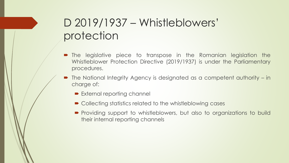### D 2019/1937 – Whistleblowers' protection

- The legislative piece to transpose in the Romanian legislation the Whistleblower Protection Directive (2019/1937) is under the Parliamentary procedures.
- The National Integrity Agency is designated as a competent authority in charge of:
	- External reporting channel
	- Collecting statistics related to the whistleblowing cases
	- Providing support to whistleblowers, but also to organizations to build their internal reporting channels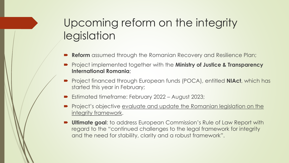## Upcoming reform on the integrity legislation

- **Reform** assumed through the Romanian Recovery and Resilience Plan;
- Project implemented together with the **Ministry of Justice & Transparency International Romania**;
- Project financed through European funds (POCA), entitled **NIAct**, which has started this year in February;
- Estimated timeframe: February 2022 August 2023;
- **Project's objective evaluate and update the Romanian legislation on the** integrity framework.
- **Ultimate goal**: to address European Commission's Rule of Law Report with regard to the "continued challenges to the legal framework for integrity and the need for stability, clarity and a robust framework".